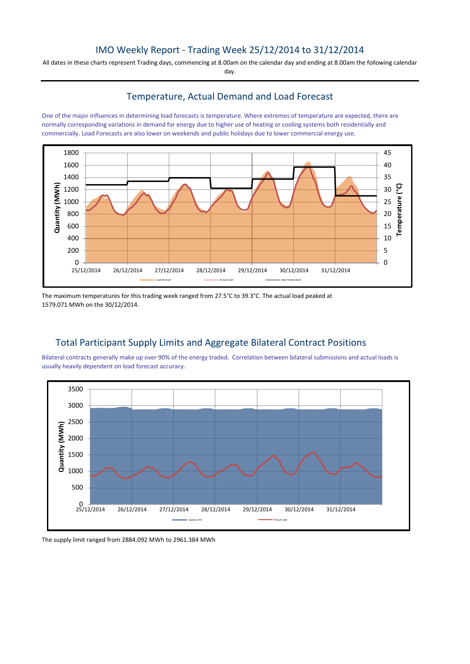# IMO Weekly Report - Trading Week 25/12/2014 to 31/12/2014

All dates in these charts represent Trading days, commencing at 8.00am on the calendar day and ending at 8.00am the following calendar day.

## Temperature, Actual Demand and Load Forecast

One of the major influences in determining load forecasts is temperature. Where extremes of temperature are expected, there are normally corresponding variations in demand for energy due to higher use of heating or cooling systems both residentially and commercially. Load Forecasts are also lower on weekends and public holidays due to lower commercial energy use.



The maximum temperatures for this trading week ranged from 27.5°C to 39.3°C. The actual load peaked at 1579.071 MWh on the 30/12/2014.

# Total Participant Supply Limits and Aggregate Bilateral Contract Positions

Bilateral contracts generally make up over 90% of the energy traded. Correlation between bilateral submissions and actual loads is usually heavily dependent on load forecast accuracy.



The supply limit ranged from 2884.092 MWh to 2961.384 MWh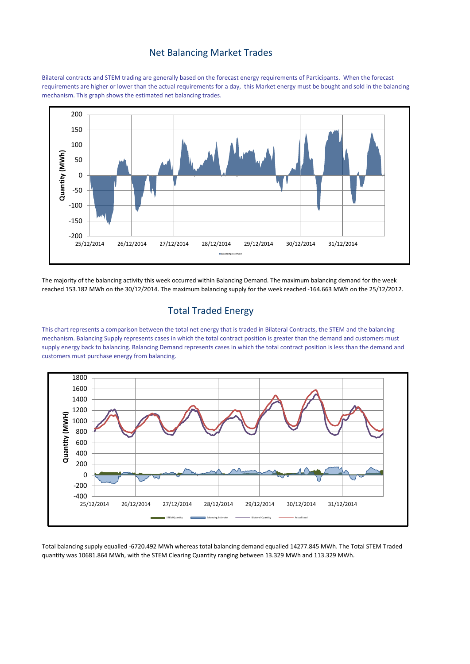#### Net Balancing Market Trades

Bilateral contracts and STEM trading are generally based on the forecast energy requirements of Participants. When the forecast requirements are higher or lower than the actual requirements for a day, this Market energy must be bought and sold in the balancing mechanism. This graph shows the estimated net balancing trades.



The majority of the balancing activity this week occurred within Balancing Demand. The maximum balancing demand for the week reached 153.182 MWh on the 30/12/2014. The maximum balancing supply for the week reached -164.663 MWh on the 25/12/2012.

# Total Traded Energy

This chart represents a comparison between the total net energy that is traded in Bilateral Contracts, the STEM and the balancing mechanism. Balancing Supply represents cases in which the total contract position is greater than the demand and customers must supply energy back to balancing. Balancing Demand represents cases in which the total contract position is less than the demand and customers must purchase energy from balancing.



Total balancing supply equalled -6720.492 MWh whereas total balancing demand equalled 14277.845 MWh. The Total STEM Traded quantity was 10681.864 MWh, with the STEM Clearing Quantity ranging between 13.329 MWh and 113.329 MWh.